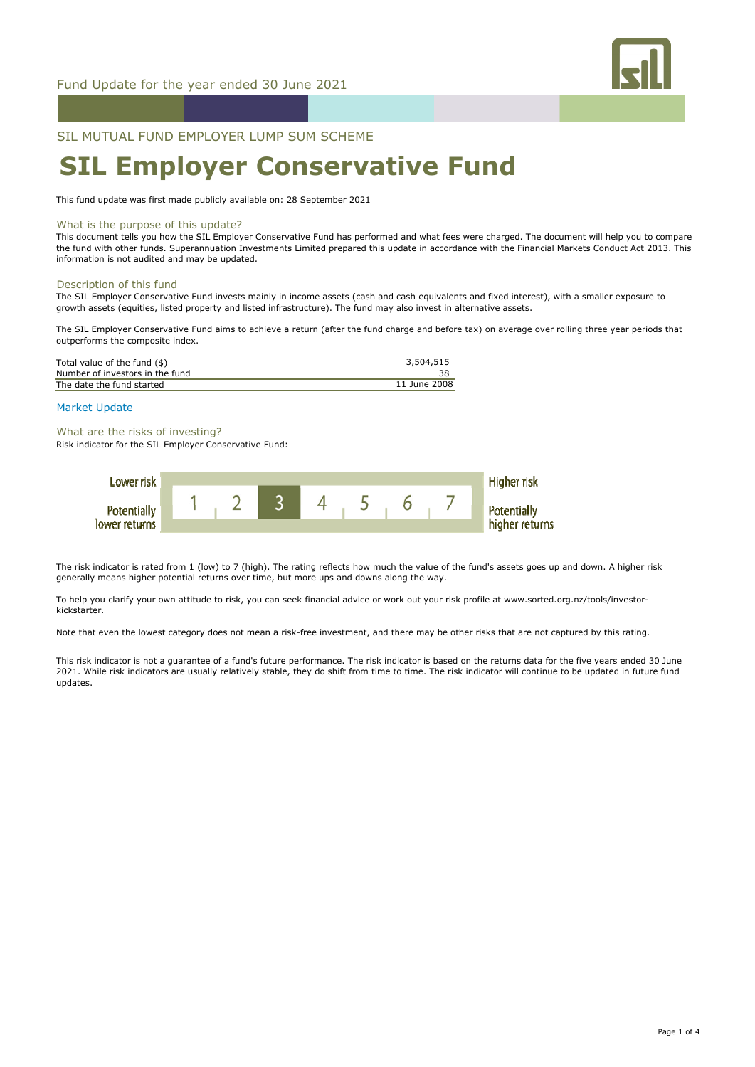

SIL MUTUAL FUND EMPLOYER LUMP SUM SCHEME

# **SIL Employer Conservative Fund**

This fund update was first made publicly available on: 28 September 2021

#### What is the purpose of this update?

This document tells you how the SIL Employer Conservative Fund has performed and what fees were charged. The document will help you to compare the fund with other funds. Superannuation Investments Limited prepared this update in accordance with the Financial Markets Conduct Act 2013. This information is not audited and may be updated.

#### Description of this fund

The SIL Employer Conservative Fund invests mainly in income assets (cash and cash equivalents and fixed interest), with a smaller exposure to growth assets (equities, listed property and listed infrastructure). The fund may also invest in alternative assets.

The SIL Employer Conservative Fund aims to achieve a return (after the fund charge and before tax) on average over rolling three year periods that outperforms the composite index.

| Total value of the fund $(\$)$  | 3,504,515    |
|---------------------------------|--------------|
| Number of investors in the fund |              |
| The date the fund started       | 11 June 2008 |
|                                 |              |

# Market Update

What are the risks of investing?

Risk indicator for the SIL Employer Conservative Fund:



The risk indicator is rated from 1 (low) to 7 (high). The rating reflects how much the value of the fund's assets goes up and down. A higher risk generally means higher potential returns over time, but more ups and downs along the way.

To help you clarify your own attitude to risk, you can seek financial advice or work out your risk profile at www.sorted.org.nz/tools/investorkickstarter.

Note that even the lowest category does not mean a risk-free investment, and there may be other risks that are not captured by this rating.

This risk indicator is not a guarantee of a fund's future performance. The risk indicator is based on the returns data for the five years ended 30 June 2021. While risk indicators are usually relatively stable, they do shift from time to time. The risk indicator will continue to be updated in future fund updates.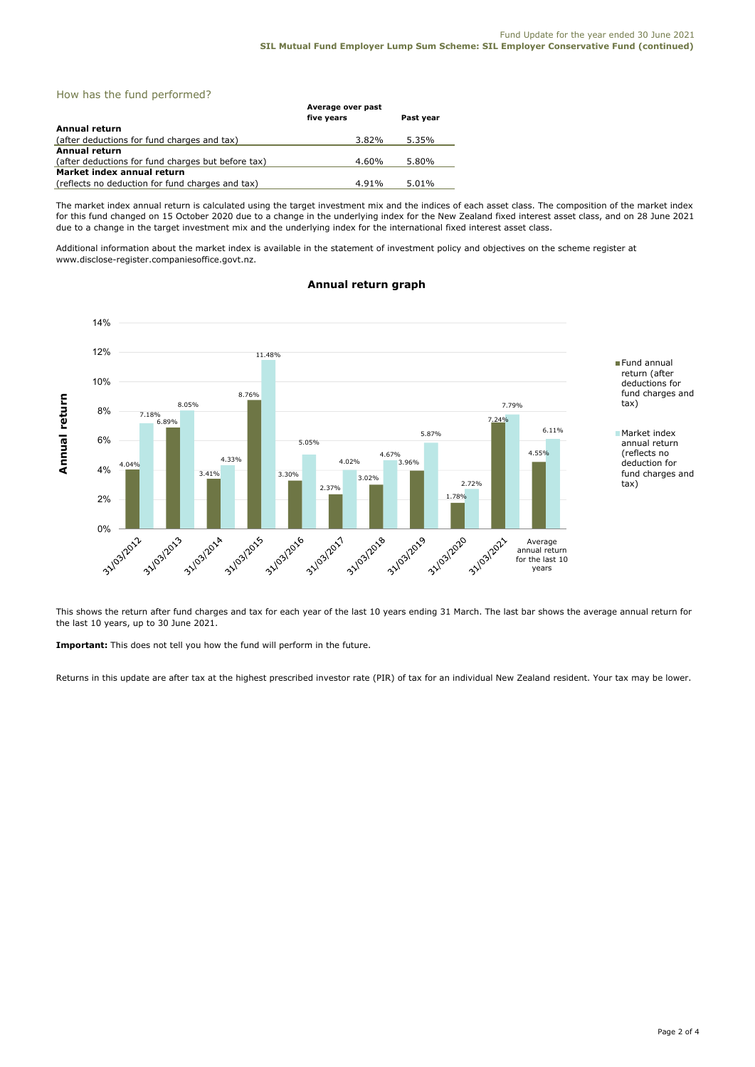# How has the fund performed?

|                                                    | Average over past |           |
|----------------------------------------------------|-------------------|-----------|
|                                                    | five years        | Past year |
| Annual return                                      |                   |           |
| (after deductions for fund charges and tax)        | 3.82%             | 5.35%     |
| Annual return                                      |                   |           |
| (after deductions for fund charges but before tax) | 4.60%             | 5.80%     |
| Market index annual return                         |                   |           |
| (reflects no deduction for fund charges and tax)   | 4.91%             | 5.01%     |

The market index annual return is calculated using the target investment mix and the indices of each asset class. The composition of the market index for this fund changed on 15 October 2020 due to a change in the underlying index for the New Zealand fixed interest asset class, and on 28 June 2021 due to a change in the target investment mix and the underlying index for the international fixed interest asset class.

Additional information about the market index is available in the statement of investment policy and objectives on the scheme register at www.disclose-register.companiesoffice.govt.nz.

#### 14% 12% 11.48% Fund annual return (after 10% deductions for 8.76% fund charges and Annual return **Annual return** 8.05% tax) 7.79% 8% 6.89% 7.18% 7.24% 6.11% 5.87% Market index 6% 5.05% annual return (reflects no 4.55% 4.67% 4.33% 4.02% 。<br>3.96% deduction for 4.04% 4% 3.41% fund charges and 3.30% 3.02% 2.72% tax) 2.37% 1.78% 2% 0% -31/03/2015 1 31/03/2013 33 103/2014 31/03/2016 3 1/03/2017 31/03/2018 31/03/2019 3 21/03/2020 3 31/03/2021 Average annual return for the last 10 years

# **Annual return graph**

This shows the return after fund charges and tax for each year of the last 10 years ending 31 March. The last bar shows the average annual return for the last 10 years, up to 30 June 2021.

**Important:** This does not tell you how the fund will perform in the future.

Returns in this update are after tax at the highest prescribed investor rate (PIR) of tax for an individual New Zealand resident. Your tax may be lower.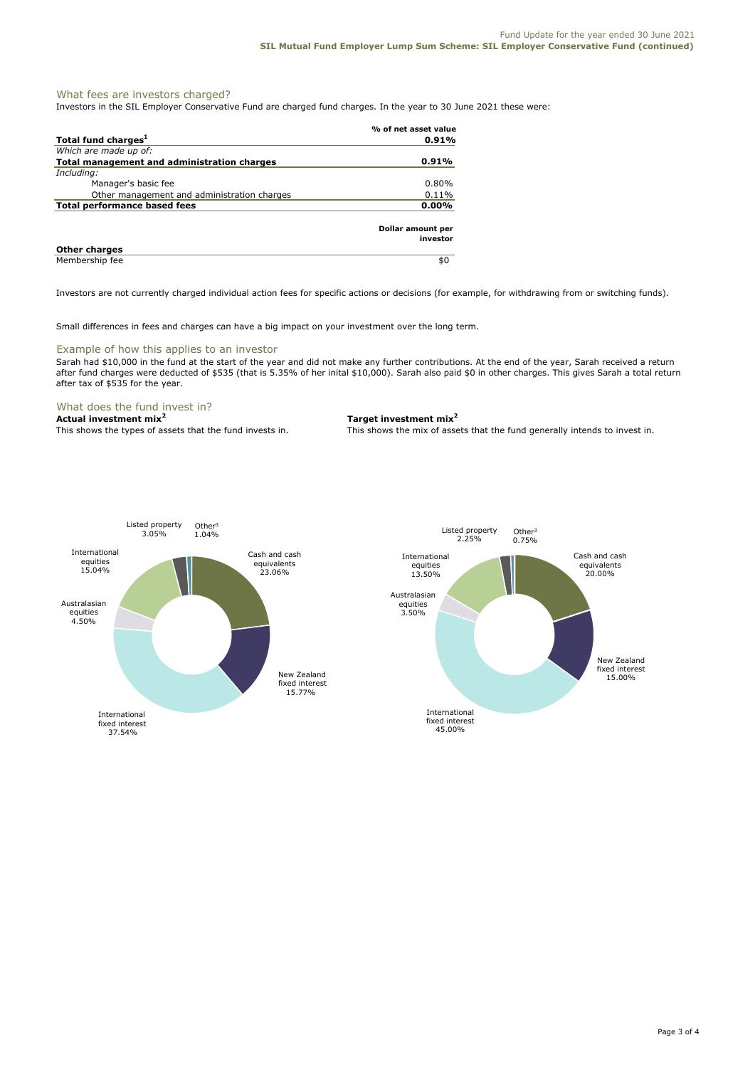# What fees are investors charged?

Investors in the SIL Employer Conservative Fund are charged fund charges. In the year to 30 June 2021 these were:

|                                             | % of net asset value          |
|---------------------------------------------|-------------------------------|
| Total fund charges <sup>1</sup>             | 0.91%                         |
| Which are made up of:                       |                               |
| Total management and administration charges | $0.91\%$                      |
| Including:                                  |                               |
| Manager's basic fee                         | 0.80%                         |
| Other management and administration charges | 0.11%                         |
| <b>Total performance based fees</b>         | $0.00\%$                      |
|                                             | Dollar amount per<br>investor |
| <b>Other charges</b>                        |                               |
| Membership fee                              | \$0                           |

Investors are not currently charged individual action fees for specific actions or decisions (for example, for withdrawing from or switching funds).

Small differences in fees and charges can have a big impact on your investment over the long term.

### Example of how this applies to an investor

Sarah had \$10,000 in the fund at the start of the year and did not make any further contributions. At the end of the year, Sarah received a return after fund charges were deducted of \$535 (that is 5.35% of her inital \$10,000). Sarah also paid \$0 in other charges. This gives Sarah a total return after tax of \$535 for the year.

# What does the fund invest in?

**Actual investment mix<sup>2</sup> Target investment mix<sup>2</sup>**

This shows the types of assets that the fund invests in. This shows the mix of assets that the fund generally intends to invest in.